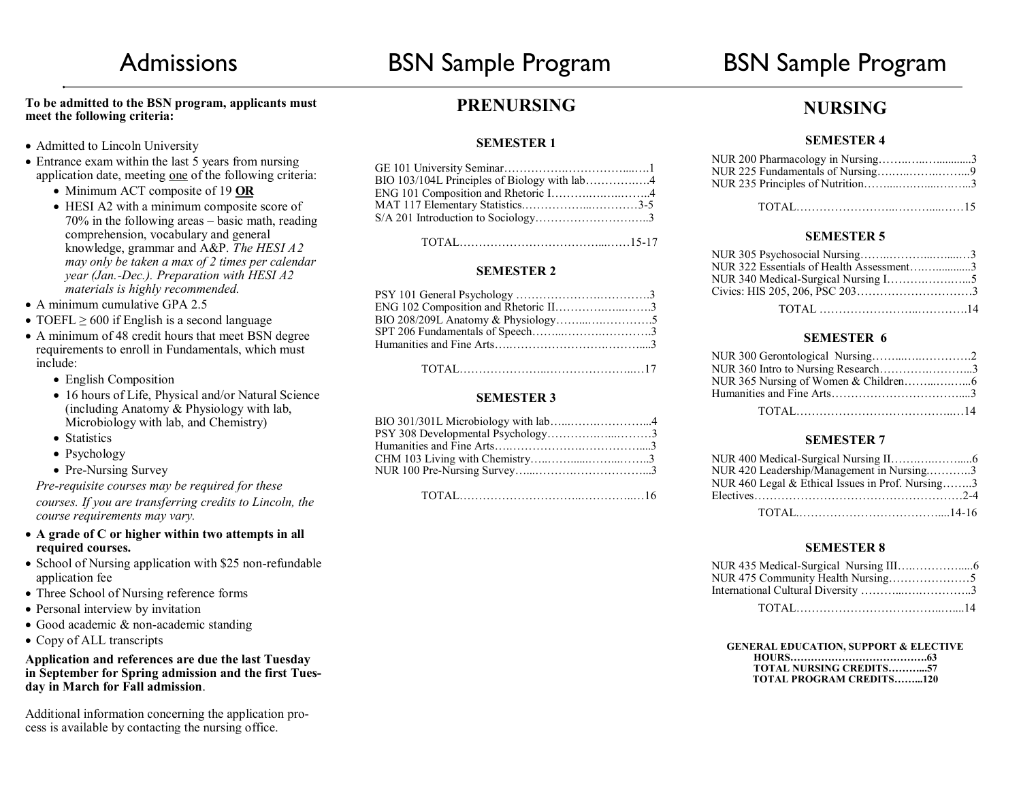#### **To be admitted to the BSN program, applicants must meet the following criteria:**

- Admitted to Lincoln University
- Entrance exam within the last 5 years from nursing application date, meeting one of the following criteria:
	- Minimum ACT composite of 19 **OR**
	- HESI A2 with a minimum composite score of 70% in the following areas – basic math, reading comprehension, vocabulary and general knowledge, grammar and A&P. *The HESI A2 may only be taken a max of 2 times per calendar year (Jan.-Dec.). Preparation with HESI A2 materials is highly recommended.*
- $\bullet$  A minimum cumulative GPA 2.5
- TOEFL  $\geq 600$  if English is a second language
- A minimum of 48 credit hours that meet BSN degree requirements to enroll in Fundamentals, which must include:
	- English Composition
	- 16 hours of Life, Physical and/or Natural Science (including Anatomy & Physiology with lab, Microbiology with lab, and Chemistry)
	- Statistics
	- Psychology
	- Pre-Nursing Survey

#### *Pre-requisite courses may be required for these*

*courses. If you are transferring credits to Lincoln, the course requirements may vary.* 

- **A grade of C or higher within two attempts in all required courses.**
- School of Nursing application with \$25 non-refundable application fee
- Three School of Nursing reference forms
- Personal interview by invitation
- Good academic & non-academic standing
- Copy of ALL transcripts

#### **Application and references are due the last Tuesday in September for Spring admission and the first Tuesday in March for Fall admission**.

Additional information concerning the application process is available by contacting the nursing office.

## **PRENURSING**

#### **SEMESTER 1**

| BIO 103/104L Principles of Biology with lab4 |  |
|----------------------------------------------|--|
| ENG 101 Composition and Rhetoric I4          |  |
|                                              |  |
| S/A 201 Introduction to Sociology3           |  |
|                                              |  |

TOTAL………………………………...……15-17

#### **SEMESTER 2**

| ENG 102 Composition and Rhetoric II3 |  |
|--------------------------------------|--|
|                                      |  |
|                                      |  |
|                                      |  |
|                                      |  |

TOTAL…………………..…………………..…17

### **SEMESTER 3**

| BIO 301/301L Microbiology with lab4 |  |
|-------------------------------------|--|
| PSY 308 Developmental Psychology3   |  |
|                                     |  |
|                                     |  |
|                                     |  |
|                                     |  |

TOTAL…………………………..…………..…16

### **NURSING**

#### **SEMESTER 4**

| NUR 200 Pharmacology in Nursing3 |  |
|----------------------------------|--|
|                                  |  |
|                                  |  |
|                                  |  |

#### TOTAL……………………..………....……15

#### **SEMESTER 5**

| NUR 322 Essentials of Health Assessment3 |  |
|------------------------------------------|--|
|                                          |  |
|                                          |  |
|                                          |  |

### **SEMESTER 6**

| NUR 360 Intro to Nursing Research3 |  |
|------------------------------------|--|
|                                    |  |
|                                    |  |
|                                    |  |

#### **SEMESTER 7**

| NUR 420 Leadership/Management in Nursing3        |  |
|--------------------------------------------------|--|
| NUR 460 Legal & Ethical Issues in Prof. Nursing3 |  |
|                                                  |  |
|                                                  |  |

#### **SEMESTER 8**

| International Cultural Diversity 3 |  |
|------------------------------------|--|
|                                    |  |

#### **GENERAL EDUCATION, SUPPORT & ELECTIVE**

| <b>TOTAL NURSING CREDITS57</b>  |  |
|---------------------------------|--|
| <b>TOTAL PROGRAM CREDITS120</b> |  |